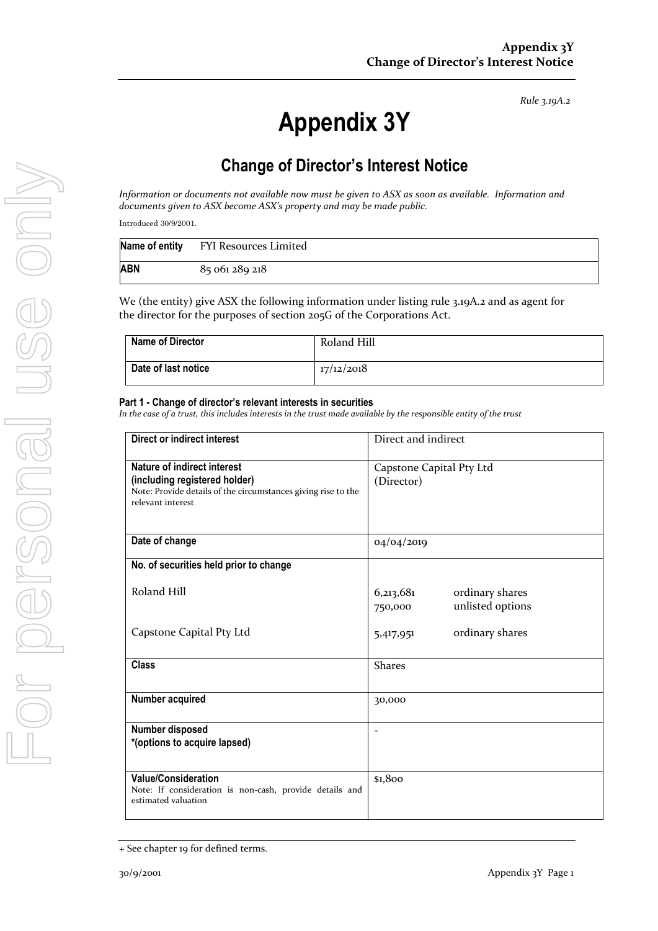*Rule 3.19A.2*

# **Appendix 3Y**

# **Change of Director's Interest Notice**

*Information or documents not available now must be given to ASX as soon as available. Information and documents given to ASX become ASX's property and may be made public.*

Introduced 30/9/2001.

|     | Name of entity FYI Resources Limited |
|-----|--------------------------------------|
| ABN | 85 061 289 218                       |

We (the entity) give ASX the following information under listing rule 3.19A.2 and as agent for the director for the purposes of section 205G of the Corporations Act.

| <b>Name of Director</b> | Roland Hill |
|-------------------------|-------------|
| Date of last notice     | 17/12/2018  |

#### **Part 1 - Change of director's relevant interests in securities**

*In the case of a trust, this includes interests in the trust made available by the responsible entity of the trust*

| Direct or indirect interest                                                                                                                         | Direct and indirect                                         |  |
|-----------------------------------------------------------------------------------------------------------------------------------------------------|-------------------------------------------------------------|--|
| Nature of indirect interest<br>(including registered holder)<br>Note: Provide details of the circumstances giving rise to the<br>relevant interest. | Capstone Capital Pty Ltd<br>(Director)                      |  |
| Date of change                                                                                                                                      | 04/04/2019                                                  |  |
| No. of securities held prior to change                                                                                                              |                                                             |  |
| Roland Hill                                                                                                                                         | 6,213,681<br>ordinary shares<br>unlisted options<br>750,000 |  |
| Capstone Capital Pty Ltd                                                                                                                            | ordinary shares<br>5,417,951                                |  |
| <b>Class</b>                                                                                                                                        | <b>Shares</b>                                               |  |
| Number acquired                                                                                                                                     | 30,000                                                      |  |
| Number disposed<br>*(options to acquire lapsed)                                                                                                     | $\blacksquare$                                              |  |
| <b>Value/Consideration</b><br>Note: If consideration is non-cash, provide details and<br>estimated valuation                                        | \$1,800                                                     |  |

<sup>+</sup> See chapter 19 for defined terms.